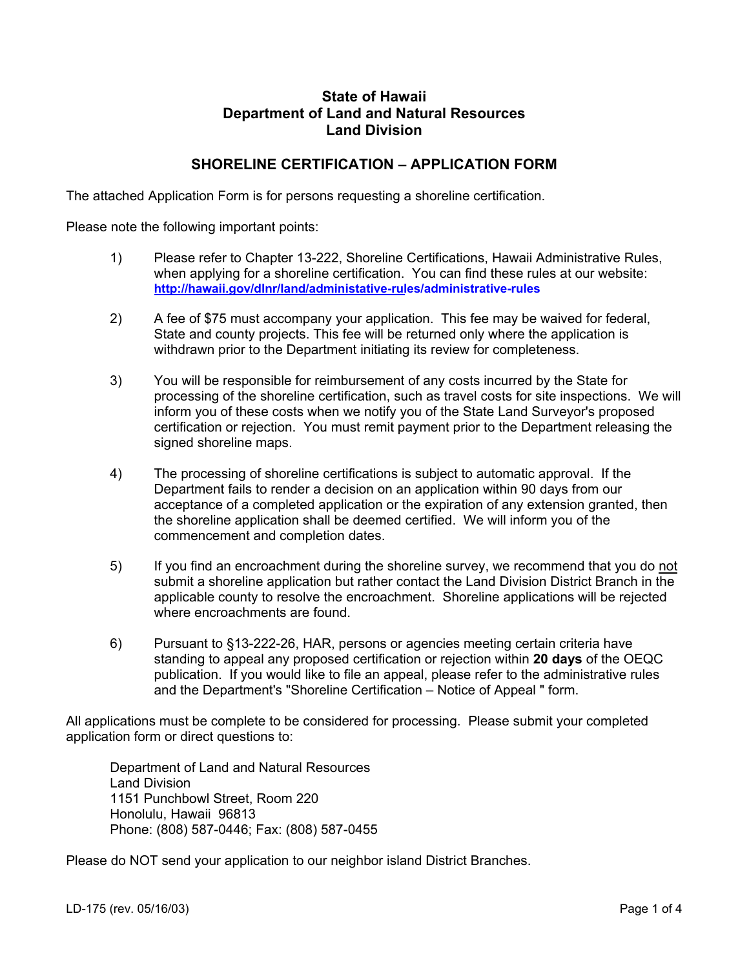## **State of Hawaii Department of Land and Natural Resources Land Division**

## **SHORELINE CERTIFICATION – APPLICATION FORM**

The attached Application Form is for persons requesting a shoreline certification.

Please note the following important points:

- 1) Please refer to Chapter 13-222, Shoreline Certifications, Hawaii Administrative Rules, when applying for a shoreline certification. You can find these rules at our website: **[http://hawaii.gov/dlnr/land/administative-rules/administrative-rules](http://hawaii.gov/dlnr/land/administrative-rules/administrative-rules)**
- 2) A fee of \$75 must accompany your application. This fee may be waived for federal, State and county projects. This fee will be returned only where the application is withdrawn prior to the Department initiating its review for completeness.
- 3) You will be responsible for reimbursement of any costs incurred by the State for processing of the shoreline certification, such as travel costs for site inspections. We will inform you of these costs when we notify you of the State Land Surveyor's proposed certification or rejection. You must remit payment prior to the Department releasing the signed shoreline maps.
- 4) The processing of shoreline certifications is subject to automatic approval. If the Department fails to render a decision on an application within 90 days from our acceptance of a completed application or the expiration of any extension granted, then the shoreline application shall be deemed certified. We will inform you of the commencement and completion dates.
- 5) If you find an encroachment during the shoreline survey, we recommend that you do not submit a shoreline application but rather contact the Land Division District Branch in the applicable county to resolve the encroachment. Shoreline applications will be rejected where encroachments are found.
- 6) Pursuant to §13-222-26, HAR, persons or agencies meeting certain criteria have standing to appeal any proposed certification or rejection within **20 days** of the OEQC publication. If you would like to file an appeal, please refer to the administrative rules and the Department's "Shoreline Certification – Notice of Appeal " form.

All applications must be complete to be considered for processing. Please submit your completed application form or direct questions to:

Department of Land and Natural Resources Land Division 1151 Punchbowl Street, Room 220 Honolulu, Hawaii 96813 Phone: (808) 587-0446; Fax: (808) 587-0455

Please do NOT send your application to our neighbor island District Branches.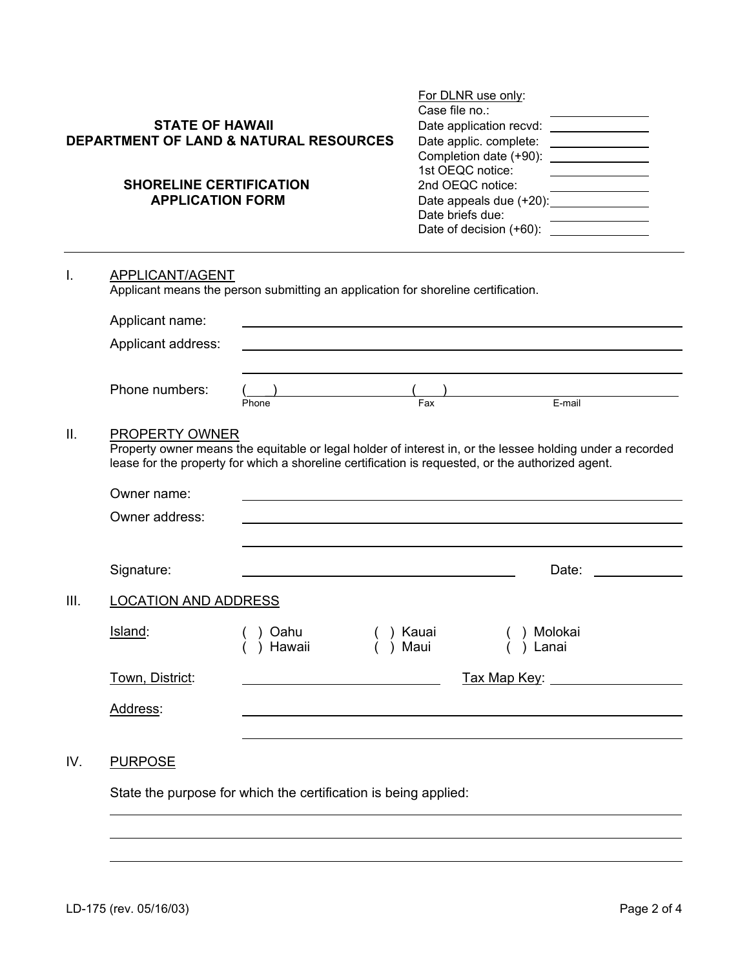|                 | <b>STATE OF HAWAII</b><br><b>SHORELINE CERTIFICATION</b><br><b>APPLICATION FORM</b>                                                           | <b>DEPARTMENT OF LAND &amp; NATURAL RESOURCES</b>                                                 | For DLNR use only:<br>Case file no.:<br>Date application recvd:<br>Completion date (+90):<br>1st OEOC notice:<br>2nd OEQC notice:<br>Date briefs due: | <u> 1999 - Jan Stein Stein Stein Stein Stein Stein Stein Stein Stein Stein Stein Stein Stein Stein Stein Stein S</u><br>Date applic. complete: ________________<br><u> 1990 - Johann Barbara, martin a</u><br>Date appeals due (+20): _______________ |  |
|-----------------|-----------------------------------------------------------------------------------------------------------------------------------------------|---------------------------------------------------------------------------------------------------|-------------------------------------------------------------------------------------------------------------------------------------------------------|-------------------------------------------------------------------------------------------------------------------------------------------------------------------------------------------------------------------------------------------------------|--|
| I.              | APPLICANT/AGENT<br>Applicant means the person submitting an application for shoreline certification.<br>Applicant name:<br>Applicant address: |                                                                                                   |                                                                                                                                                       |                                                                                                                                                                                                                                                       |  |
|                 | Phone numbers:                                                                                                                                | Phone                                                                                             | Fax                                                                                                                                                   | E-mail                                                                                                                                                                                                                                                |  |
| $\mathbf{II}$ . | <b>PROPERTY OWNER</b>                                                                                                                         | lease for the property for which a shoreline certification is requested, or the authorized agent. |                                                                                                                                                       | Property owner means the equitable or legal holder of interest in, or the lessee holding under a recorded                                                                                                                                             |  |

|      | Owner name:     |                             |               |                  |  |
|------|-----------------|-----------------------------|---------------|------------------|--|
|      | Owner address:  |                             |               |                  |  |
|      |                 |                             |               |                  |  |
|      | Signature:      |                             |               | Date:            |  |
| III. |                 | <b>LOCATION AND ADDRESS</b> |               |                  |  |
|      | Island:         | Oahu<br>Hawaii              | Kauai<br>Maui | Molokai<br>Lanai |  |
|      | Town, District: |                             |               | Tax Map Key:     |  |
|      | Address:        |                             |               |                  |  |
|      |                 |                             |               |                  |  |

# IV. PURPOSE

 $\overline{a}$  $\overline{a}$ 

State the purpose for which the certification is being applied:

 $\overline{a}$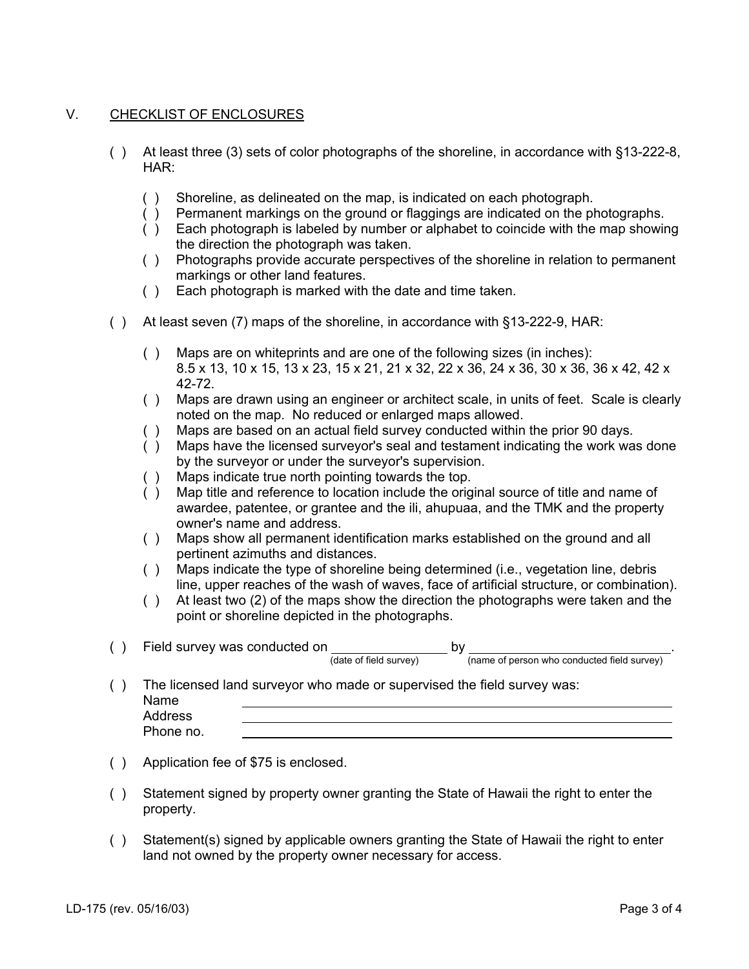### V. CHECKLIST OF ENCLOSURES

- ( ) At least three (3) sets of color photographs of the shoreline, in accordance with §13-222-8, HAR:
	- ( ) Shoreline, as delineated on the map, is indicated on each photograph.
	- ( ) Permanent markings on the ground or flaggings are indicated on the photographs.
	- ( ) Each photograph is labeled by number or alphabet to coincide with the map showing the direction the photograph was taken.
	- ( ) Photographs provide accurate perspectives of the shoreline in relation to permanent markings or other land features.
	- ( ) Each photograph is marked with the date and time taken.
- ( ) At least seven (7) maps of the shoreline, in accordance with §13-222-9, HAR:
	- ( ) Maps are on whiteprints and are one of the following sizes (in inches): 8.5 x 13, 10 x 15, 13 x 23, 15 x 21, 21 x 32, 22 x 36, 24 x 36, 30 x 36, 36 x 42, 42 x 42-72.
	- ( ) Maps are drawn using an engineer or architect scale, in units of feet. Scale is clearly noted on the map. No reduced or enlarged maps allowed.
	- ( ) Maps are based on an actual field survey conducted within the prior 90 days.
	- ( ) Maps have the licensed surveyor's seal and testament indicating the work was done by the surveyor or under the surveyor's supervision.
	- ( ) Maps indicate true north pointing towards the top.
	- ( ) Map title and reference to location include the original source of title and name of awardee, patentee, or grantee and the ili, ahupuaa, and the TMK and the property owner's name and address.
	- ( ) Maps show all permanent identification marks established on the ground and all pertinent azimuths and distances.
	- ( ) Maps indicate the type of shoreline being determined (i.e., vegetation line, debris line, upper reaches of the wash of waves, face of artificial structure, or combination).
	- ( ) At least two (2) of the maps show the direction the photographs were taken and the point or shoreline depicted in the photographs.
- ( ) Field survey was conducted on  $\frac{1}{(data\ of\ field\ survey)}$  by  $\frac{1}{(name\ of\ person\ who\ conducted\ field\ survey)}$

( ) The licensed land surveyor who made or supervised the field survey was: Name Addr

| Address   |  |
|-----------|--|
| Phone no. |  |

- ( ) Application fee of \$75 is enclosed.
- ( ) Statement signed by property owner granting the State of Hawaii the right to enter the property.
- ( ) Statement(s) signed by applicable owners granting the State of Hawaii the right to enter land not owned by the property owner necessary for access.